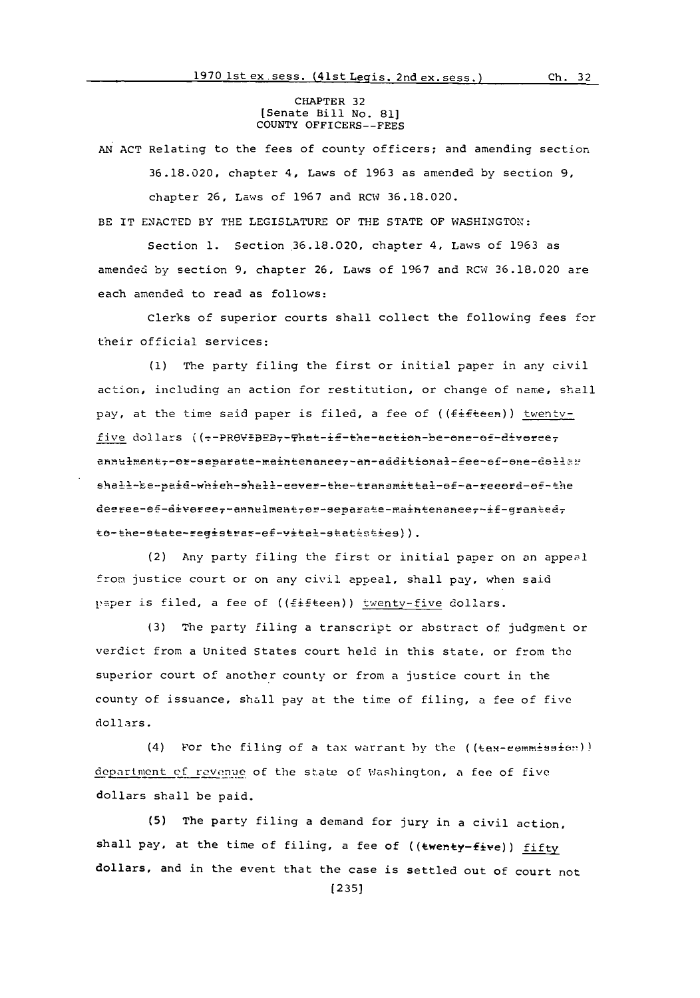## CHAPTER **32** [Senate Bill No. **81] COUNTY** OFFICERS--FEES

**AN ACT** Relating to the fees of county officers; and amending section **36.18.020,** chapter 4, Laws of **1963** as amended **by** section **9,** chapter **26,** Laws of **1967** and RCW **36.18.020.**

BE IT **ENACTED** BY THE LEGISLATURE OF **THE STATE** OF WASHINGTON:

Section **1.** Section,36.18.020, chapter 4, Laws of **1963** as amended **by** section **9,** chapter **26,** Laws of **1967** and RCW **36.18.020** are each amended to read as follows:

Clerks of superior courts shall collect the following fees for their official services:

**(1)** The party filing the first or initial paper in any civil action, including an action for restitution, or change of name, shall pay, at the time said paper is filed, a fee of (( $f$ ifteen)) twentvfive dollars ((--PROVIDED--That-if-the-action-be-one-of-diverceannulment--or-separate-maintenance--an-additional-fee-ef-one-dollar shall-be-paid-which-shall-cever-the-transmittal-of-a-record-of-the deeree-ef-diveree,-annulment,or-separate-maintenance,-if-granted, to-the-state-registrar-ef-vital-statisties)).

(2) Any party filing the first or initial paper on an appeol from justice court or on any civil appeal, shall pay, when said paper is filed, a fee of ((fifteen)) twenty-five dollars.

(3) The party filing a transcript or abstract of judgment or verdict from a United States court hold in this state, or from the superior court of another county or from a justice court in the county of issuance, shall pay at the time of filing, a fee of five dollars.

(4) For the filing of a tax warrant by the ((tax-eemmissien)) department of revenue of the state of Washington, a fee of five dollars shall be paid.

**(5)** The party filing a demand for jury in a civil action, shall pay, at the time of filing, a fee of (( ${www-five})$ ) fifty dollars, and in the event that the case is settled out of court not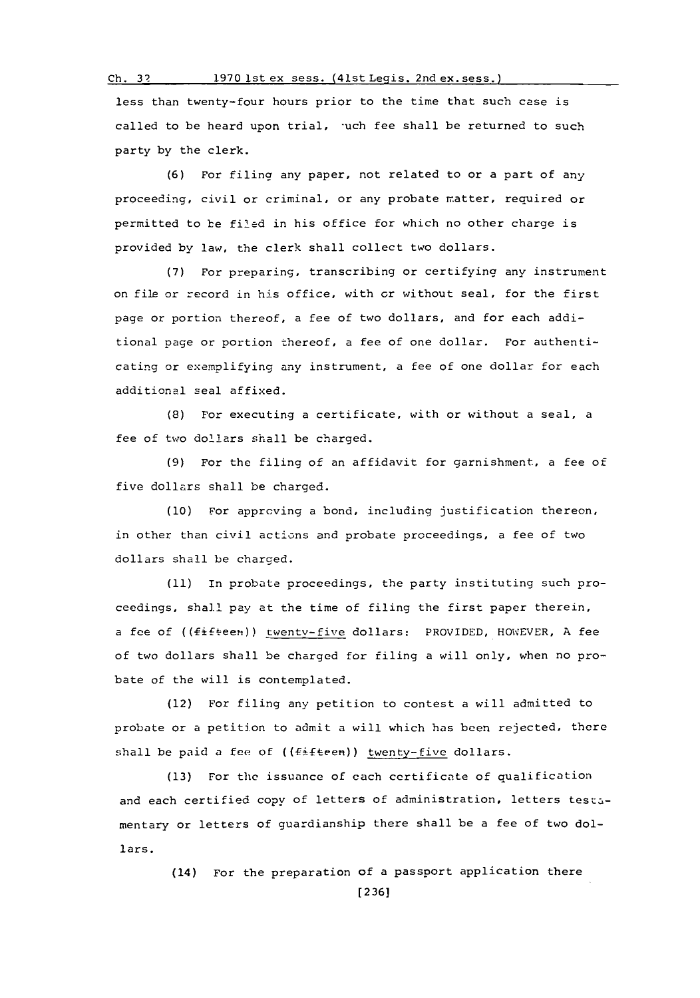## **Ch. 3? 1970** lst ex sess. (41st Legis. 2nd ex. sess.)

less than twenty-four hours prior to the time that such case is called to be heard upon trial, uch fee shall be returned to such party **by** the clerk.

**(6)** For filing any paper, not related to or a part of any proceeding, civil or criminal, or any probate matter, required or permitted to be fil'ed in his office for which no other charge is provided **by** law, the clerk shall collect two dollars.

**(7)** For preparing, transcribing or certifying any instrument on file or record in his office, with or without seal, for the first page or portion thereof, a fee of two dollars, and for each additional page or portion thereof, a fee of one dollar. For authenticating or exemplifying any instrument, a fee of one dollar for each additional seal affixed.

**(8)** For executing a certificate, with or without a seal, a fee of two dollars shall be charged.

**(9)** For the filing of an affidavit for garnishment, a fee of five dollars shall be charged.

**(10)** For approving a bond, including justification thereon, in other than civil actions and probate proceedings, a fee of two dollars shall be charged.

**(11)** In probate proceedings, the party instituting such proceedings, shell pay at the time of filing the first paper therein, a fee of (( Fift-een)) twenty-five dollars: PROVIDED, HOWEVER, **A** fee of two dollars shall be charged for filing a will only, when no probate of the will is contemplated.

(12) For filing any petition to contest a will admitted to probate or a petition to admit a will which has been rejected, there shall be paid a fee of ((fifteen)) twenty-five dollars.

**(13)** For the issuance of each certificate of qualification and each certified copy of letters of administration, letters testamentary or letters of guardianship there shall be a fee of two dollars.

> (14) For the preparation of a passport application there **[2361**